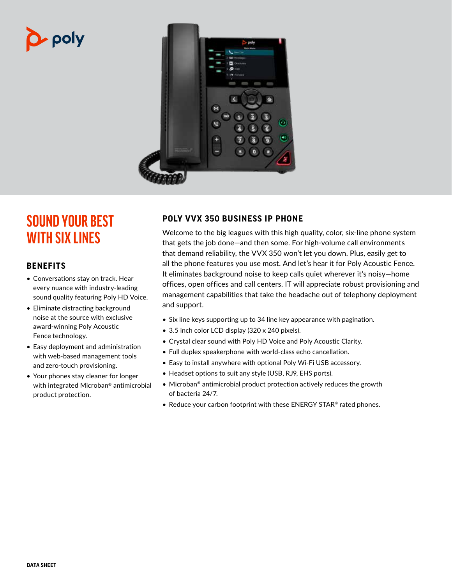# • poly



# **SOUND YOUR BEST WITH SIX LINES**

# **BENEFITS**

- Conversations stay on track. Hear every nuance with industry-leading sound quality featuring Poly HD Voice.
- Eliminate distracting background noise at the source with exclusive award-winning Poly Acoustic Fence technology.
- Easy deployment and administration with web-based management tools and zero-touch provisioning.
- Your phones stay cleaner for longer with integrated Microban® antimicrobial product protection.

# **POLY VVX 350 BUSINESS IP PHONE**

Welcome to the big leagues with this high quality, color, six-line phone system that gets the job done—and then some. For high-volume call environments that demand reliability, the VVX 350 won't let you down. Plus, easily get to all the phone features you use most. And let's hear it for Poly Acoustic Fence. It eliminates background noise to keep calls quiet wherever it's noisy—home offices, open offices and call centers. IT will appreciate robust provisioning and management capabilities that take the headache out of telephony deployment and support.

- Six line keys supporting up to 34 line key appearance with pagination.
- 3.5 inch color LCD display (320 x 240 pixels).
- Crystal clear sound with Poly HD Voice and Poly Acoustic Clarity.
- Full duplex speakerphone with world-class echo cancellation.
- Easy to install anywhere with optional Poly Wi-Fi USB accessory.
- Headset options to suit any style (USB, RJ9, EHS ports).
- Microban<sup>®</sup> antimicrobial product protection actively reduces the growth of bacteria 24/7.
- Reduce your carbon footprint with these ENERGY STAR® rated phones.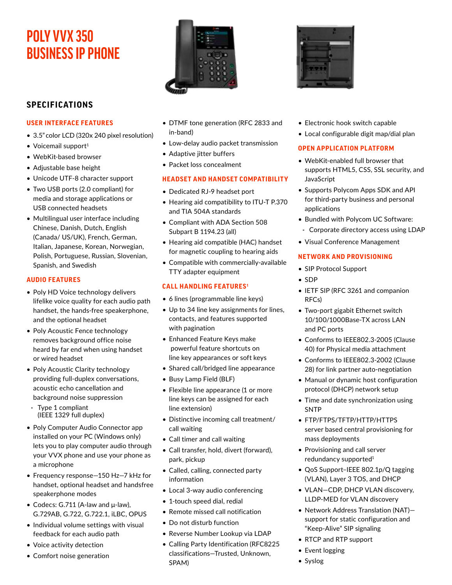# **POLY VVX 350 BUSINESS IP PHONE**

# **SPECIFICATIONS**

#### **USER INTERFACE FEATURES**

- 3.5" color LCD (320x 240 pixel resolution)
- $\bullet$  Voicemail support<sup>1</sup>
- WebKit-based browser
- Adjustable base height
- Unicode UTF-8 character support
- Two USB ports (2.0 compliant) for media and storage applications or USB connected headsets
- Multilingual user interface including Chinese, Danish, Dutch, English (Canada/ US/UK), French, German, Italian, Japanese, Korean, Norwegian, Polish, Portuguese, Russian, Slovenian, Spanish, and Swedish

#### **AUDIO FEATURES**

- Poly HD Voice technology delivers lifelike voice quality for each audio path handset, the hands-free speakerphone, and the optional headset
- Poly Acoustic Fence technology removes background office noise heard by far end when using handset or wired headset
- Poly Acoustic Clarity technology providing full-duplex conversations, acoustic echo cancellation and background noise suppression
- Type 1 compliant (IEEE 1329 full duplex)
- Poly Computer Audio Connector app installed on your PC (Windows only) lets you to play computer audio through your VVX phone and use your phone as a microphone
- Frequency response—150 Hz—7 kHz for handset, optional headset and handsfree speakerphone modes
- Codecs: G.711 (A-law and μ-law), G.729AB, G.722, G.722.1, iLBC, OPUS
- Individual volume settings with visual feedback for each audio path
- Voice activity detection
- Comfort noise generation



- DTMF tone generation (RFC 2833 and in-band)
- Low-delay audio packet transmission
- Adaptive jitter buffers
- Packet loss concealment

## **HEADSET AND HANDSET COMPATIBILITY**

- Dedicated RJ-9 headset port
- Hearing aid compatibility to ITU-T P.370 and TIA 504A standards
- Compliant with ADA Section 508 Subpart B 1194.23 (all)
- Hearing aid compatible (HAC) handset for magnetic coupling to hearing aids
- Compatible with commercially-available TTY adapter equipment

# **CALL HANDLING FEATURES1**

- 6 lines (programmable line keys)
- Up to 34 line key assignments for lines, contacts, and features supported with pagination
- Enhanced Feature Keys make powerful feature shortcuts on line key appearances or soft keys
- Shared call/bridged line appearance
- Busy Lamp Field (BLF)
- Flexible line appearance (1 or more line keys can be assigned for each line extension)
- Distinctive incoming call treatment/ call waiting
- Call timer and call waiting
- Call transfer, hold, divert (forward), park, pickup
- Called, calling, connected party information
- Local 3-way audio conferencing
- 1-touch speed dial, redial
- Remote missed call notification
- Do not disturb function
- Reverse Number Lookup via LDAP
- Calling Party Identification (RFC8225 classifications—Trusted, Unknown, SPAM)



- Electronic hook switch capable
- Local configurable digit map/dial plan

## **OPEN APPLICATION PLATFORM**

- WebKit-enabled full browser that supports HTML5, CSS, SSL security, and **JavaScript**
- Supports Polycom Apps SDK and API for third-party business and personal applications
- Bundled with Polycom UC Software:
- Corporate directory access using LDAP
- Visual Conference Management

## **NETWORK AND PROVISIONING**

- SIP Protocol Support
- SDP
- IETF SIP (RFC 3261 and companion RFCs)
- Two-port gigabit Ethernet switch 10/100/1000Base-TX across LAN and PC ports
- Conforms to IEEE802.3-2005 (Clause 40) for Physical media attachment
- Conforms to IEEE802.3-2002 (Clause 28) for link partner auto-negotiation
- Manual or dynamic host configuration protocol (DHCP) network setup
- Time and date synchronization using SNTP
- FTP/FTPS/TFTP/HTTP/HTTPS server based central provisioning for mass deployments
- Provisioning and call server redundancy supported<sup>1</sup>
- QoS Support–IEEE 802.1p/Q tagging (VLAN), Layer 3 TOS, and DHCP
- VLAN—CDP, DHCP VLAN discovery, LLDP-MED for VLAN discovery
- Network Address Translation (NAT) support for static configuration and "Keep-Alive" SIP signaling
- RTCP and RTP support
- Event logging
- Syslog